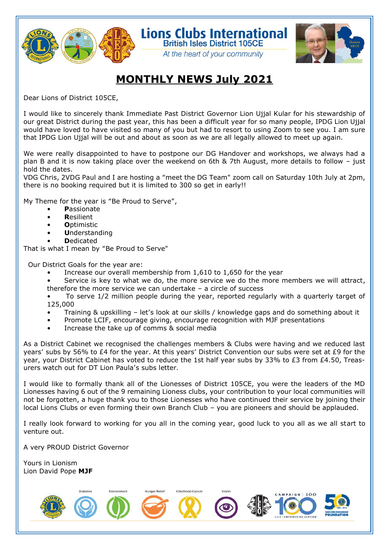

Lions Clubs International

# **MONTHLY NEWS July 2021**

**British Isles District 105CE** At the heart of your community

Dear Lions of District 105CE,

I would like to sincerely thank Immediate Past District Governor Lion Ujjal Kular for his stewardship of our great District during the past year, this has been a difficult year for so many people, IPDG Lion Ujjal would have loved to have visited so many of you but had to resort to using Zoom to see you. I am sure that IPDG Lion Ujjal will be out and about as soon as we are all legally allowed to meet up again.

We were really disappointed to have to postpone our DG Handover and workshops, we always had a plan B and it is now taking place over the weekend on 6th & 7th August, more details to follow – just hold the dates.

VDG Chris, 2VDG Paul and I are hosting a "meet the DG Team" zoom call on Saturday 10th July at 2pm, there is no booking required but it is limited to 300 so get in early!!

My Theme for the year is "Be Proud to Serve",

- **P**assionate
- **R**esilient
- **O**ptimistic
- **U**nderstanding
- **D**edicated

That is what I mean by "Be Proud to Serve"

Our District Goals for the year are:

- Increase our overall membership from 1,610 to 1,650 for the year
- Service is key to what we do, the more service we do the more members we will attract, therefore the more service we can undertake – a circle of success

• To serve 1/2 million people during the year, reported regularly with a quarterly target of 125,000

- Training & upskilling let's look at our skills / knowledge gaps and do something about it
- Promote LCIF, encourage giving, encourage recognition with MJF presentations
- Increase the take up of comms & social media

As a District Cabinet we recognised the challenges members & Clubs were having and we reduced last years' subs by 56% to £4 for the year. At this years' District Convention our subs were set at £9 for the year, your District Cabinet has voted to reduce the 1st half year subs by 33% to £3 from £4.50, Treasurers watch out for DT Lion Paula's subs letter.

I would like to formally thank all of the Lionesses of District 105CE, you were the leaders of the MD Lionesses having 6 out of the 9 remaining Lioness clubs, your contribution to your local communities will not be forgotten, a huge thank you to those Lionesses who have continued their service by joining their local Lions Clubs or even forming their own Branch Club – you are pioneers and should be applauded.

I really look forward to working for you all in the coming year, good luck to you all as we all start to venture out.

A very PROUD District Governor

Yours in Lionism Lion David Pope **MJF**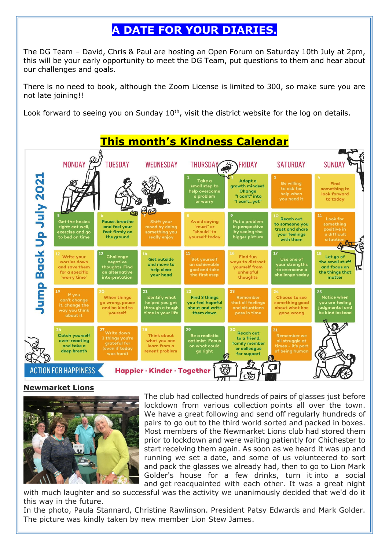# **A DATE FOR YOUR DIARIES.**

The DG Team – David, Chris & Paul are hosting an Open Forum on Saturday 10th July at 2pm, this will be your early opportunity to meet the DG Team, put questions to them and hear about our challenges and goals.

There is no need to book, although the Zoom License is limited to 300, so make sure you are not late joining!!

Look forward to seeing you on Sunday  $10<sup>th</sup>$ , visit the district website for the log on details.



### **Newmarket Lions**



The club had collected hundreds of pairs of glasses just before lockdown from various collection points all over the town. We have a great following and send off regularly hundreds of pairs to go out to the third world sorted and packed in boxes. Most members of the Newmarket Lions club had stored them prior to lockdown and were waiting patiently for Chichester to start receiving them again. As soon as we heard it was up and running we set a date, and some of us volunteered to sort and pack the glasses we already had, then to go to Lion Mark Golder's house for a few drinks, turn it into a social and get reacquainted with each other. It was a great night

with much laughter and so successful was the activity we unanimously decided that we'd do it this way in the future.

In the photo, Paula Stannard, Christine Rawlinson. President Patsy Edwards and Mark Golder. The picture was kindly taken by new member Lion Stew James.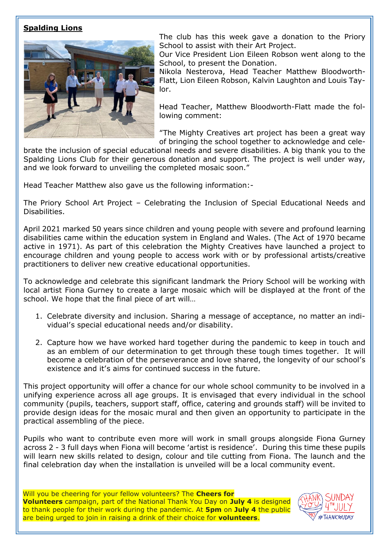### **Spalding Lions**



The club has this week gave a donation to the Priory School to assist with their Art Project.

Our Vice President Lion Eileen Robson went along to the School, to present the Donation.

Nikola Nesterova, Head Teacher Matthew Bloodworth-Flatt, Lion Eileen Robson, Kalvin Laughton and Louis Taylor.

Head Teacher, Matthew Bloodworth-Flatt made the following comment:

"The Mighty Creatives art project has been a great way of bringing the school together to acknowledge and cele-

brate the inclusion of special educational needs and severe disabilities. A big thank you to the Spalding Lions Club for their generous donation and support. The project is well under way, and we look forward to unveiling the completed mosaic soon."

Head Teacher Matthew also gave us the following information:-

The Priory School Art Project – Celebrating the Inclusion of Special Educational Needs and Disabilities.

April 2021 marked 50 years since children and young people with severe and profound learning disabilities came within the education system in England and Wales. (The Act of 1970 became active in 1971). As part of this celebration the Mighty Creatives have launched a project to encourage children and young people to access work with or by professional artists/creative practitioners to deliver new creative educational opportunities.

To acknowledge and celebrate this significant landmark the Priory School will be working with local artist Fiona Gurney to create a large mosaic which will be displayed at the front of the school. We hope that the final piece of art will…

- 1. Celebrate diversity and inclusion. Sharing a message of acceptance, no matter an individual's special educational needs and/or disability.
- 2. Capture how we have worked hard together during the pandemic to keep in touch and as an emblem of our determination to get through these tough times together. It will become a celebration of the perseverance and love shared, the longevity of our school's existence and it's aims for continued success in the future.

This project opportunity will offer a chance for our whole school community to be involved in a unifying experience across all age groups. It is envisaged that every individual in the school community (pupils, teachers, support staff, office, catering and grounds staff) will be invited to provide design ideas for the mosaic mural and then given an opportunity to participate in the practical assembling of the piece.

Pupils who want to contribute even more will work in small groups alongside Fiona Gurney across 2 - 3 full days when Fiona will become 'artist is residence'. During this time these pupils will learn new skills related to design, colour and tile cutting from Fiona. The launch and the final celebration day when the installation is unveiled will be a local community event.

Will you be cheering for your fellow volunteers? The **Cheers for Volunteers** campaign, part of the National Thank You Day on **July 4** is designed to thank people for their work during the pandemic. At **5pm** on **July 4** the public are being urged to join in raising a drink of their choice for **volunteers**.

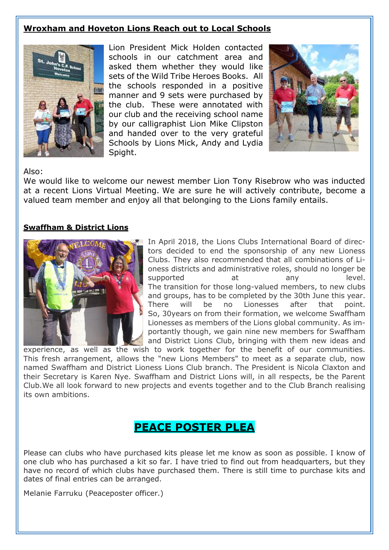### **Wroxham and Hoveton Lions Reach out to Local Schools**



Lion President Mick Holden contacted schools in our catchment area and asked them whether they would like sets of the Wild Tribe Heroes Books. All the schools responded in a positive manner and 9 sets were purchased by the club. These were annotated with our club and the receiving school name by our calligraphist Lion Mike Clipston and handed over to the very grateful Schools by Lions Mick, Andy and Lydia Spight.



### Also:

We would like to welcome our newest member Lion Tony Risebrow who was inducted at a recent Lions Virtual Meeting. We are sure he will actively contribute, become a valued team member and enjoy all that belonging to the Lions family entails.

#### **Swaffham & District Lions**



In April 2018, the Lions Clubs International Board of directors decided to end the sponsorship of any new Lioness Clubs. They also recommended that all combinations of Lioness districts and administrative roles, should no longer be supported at any level. The transition for those long-valued members, to new clubs and groups, has to be completed by the 30th June this year. There will be no Lionesses after that point. So, 30years on from their formation, we welcome Swaffham Lionesses as members of the Lions global community. As importantly though, we gain nine new members for Swaffham and District Lions Club, bringing with them new ideas and

experience, as well as the wish to work together for the benefit of our communities. This fresh arrangement, allows the "new Lions Members" to meet as a separate club, now named Swaffham and District Lioness Lions Club branch. The President is Nicola Claxton and their Secretary is Karen Nye. Swaffham and District Lions will, in all respects, be the Parent Club.We all look forward to new projects and events together and to the Club Branch realising its own ambitions.

## **PEACE POSTER PLEA**

Please can clubs who have purchased kits please let me know as soon as possible. I know of one club who has purchased a kit so far. I have tried to find out from headquarters, but they have no record of which clubs have purchased them. There is still time to purchase kits and dates of final entries can be arranged.

Melanie Farruku (Peaceposter officer.)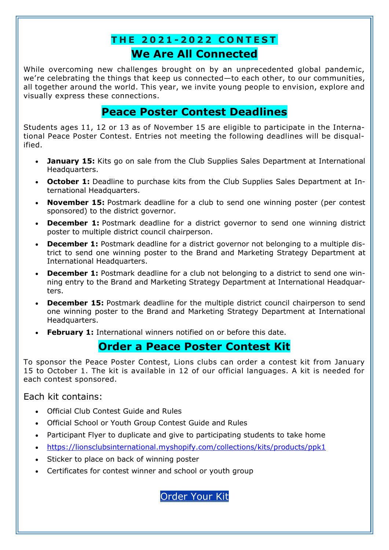# **T H E 2 0 2 1 - 2 0 2 2 C O N T E S T We Are All Connected**

While overcoming new challenges brought on by an unprecedented global pandemic, we're celebrating the things that keep us connected—to each other, to our communities, all together around the world. This year, we invite young people to envision, explore and visually express these connections.

## **Peace Poster Contest Deadlines**

Students ages 11, 12 or 13 as of November 15 are eligible to participate in the International Peace Poster Contest. Entries not meeting the following deadlines will be disqualified.

- **January 15:** Kits go on sale from the Club Supplies Sales Department at International Headquarters.
- **October 1:** Deadline to purchase kits from the Club Supplies Sales Department at International Headquarters.
- **November 15:** Postmark deadline for a club to send one winning poster (per contest sponsored) to the district governor.
- **December 1:** Postmark deadline for a district governor to send one winning district poster to multiple district council chairperson.
- **December 1:** Postmark deadline for a district governor not belonging to a multiple district to send one winning poster to the Brand and Marketing Strategy Department at International Headquarters.
- **December 1:** Postmark deadline for a club not belonging to a district to send one winning entry to the Brand and Marketing Strategy Department at International Headquarters.
- **December 15:** Postmark deadline for the multiple district council chairperson to send one winning poster to the Brand and Marketing Strategy Department at International Headquarters.
- **February 1:** International winners notified on or before this date.

# **Order a Peace Poster Contest Kit**

To sponsor the Peace Poster Contest, Lions clubs can order a contest kit from January 15 to October 1. The kit is available in 12 of our official languages. A kit is needed for each contest sponsored.

### Each kit contains:

- Official Club Contest Guide and Rules
- Official School or Youth Group Contest Guide and Rules
- Participant Flyer to duplicate and give to participating students to take home
- <https://lionsclubsinternational.myshopify.com/collections/kits/products/ppk1>
- Sticker to place on back of winning poster
- Certificates for contest winner and school or youth group

[Order Your Kit](https://lionsclubsinternational.myshopify.com/collections/kits/products/ppk1)